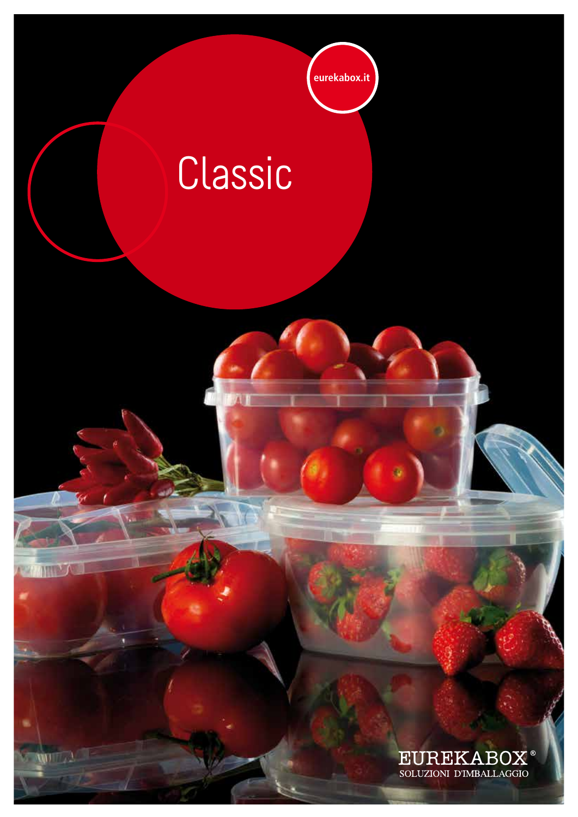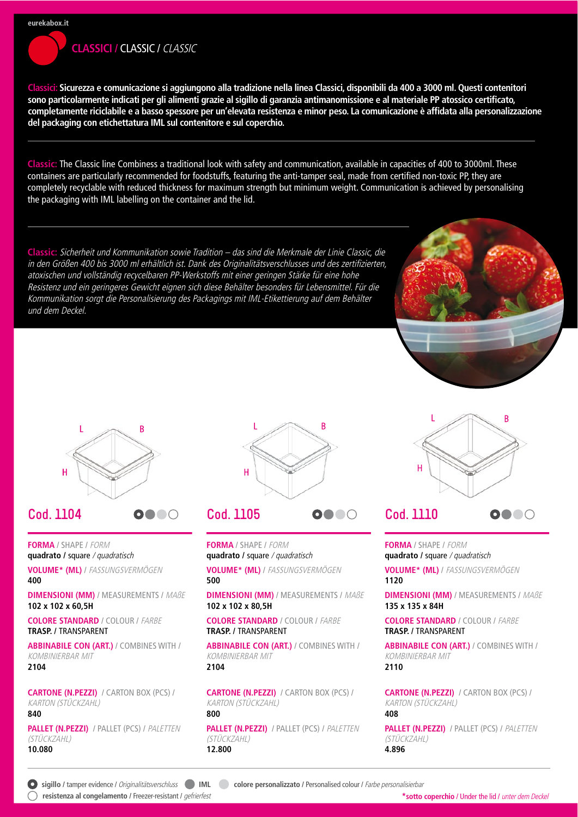# **CLASSICI / CLASSIC / CLASSIC**

Classici: Sicurezza e comunicazione si aggiungono alla tradizione nella linea Classici, disponibili da 400 a 3000 ml. Questi contenitori sono particolarmente indicati per gli alimenti grazie al sigillo di garanzia antimanomissione e al materiale PP atossico certificato, completamente riciclabile e a basso spessore per un'elevata resistenza e minor peso. La comunicazione è affidata alla personalizzazione del packaging con etichettatura IML sul contenitore e sul coperchio.

Classic: The Classic line Combiness a traditional look with safety and communication, available in capacities of 400 to 3000ml. These containers are particularly recommended for foodstuffs, featuring the anti-tamper seal, made from certified non-toxic PP, they are completely recyclable with reduced thickness for maximum strength but minimum weight. Communication is achieved by personalising the packaging with IML labelling on the container and the lid.

Classic: Sicherheit und Kommunikation sowie Tradition - das sind die Merkmale der Linie Classic, die in den Größen 400 bis 3000 ml erhältlich ist. Dank des Originalitätsverschlusses und des zertifizierten. atoxischen und vollständig recycelbaren PP-Werkstoffs mit einer geringen Stärke für eine hohe Resistenz und ein geringeres Gewicht eignen sich diese Behälter besonders für Lebensmittel. Für die Kommunikation sorgt die Personalisierung des Packagings mit IML-Etikettierung auf dem Behälter und dem Deckel.



R



0000

#### Cod. 1104

**FORMA / SHAPE / FORM** quadrato / square / quadratisch

VOLUME\* (ML) / FASSUNGSVERMÖGEN 400

**DIMENSIONI (MM) / MEASUREMENTS / MABE** 102 x 102 x 60.5H

**COI ORE STANDARD / COLOUR / FARBE TRASP. / TRANSPARENT** 

**ABBINABILE CON (ART.) / COMBINES WITH / KOMBINIERBAR MIT** 2104

**CARTONE (N.PEZZI)** / CARTON BOX (PCS) / **KARTON (STÜCKZAHL)** 840

PALLET (N.PEZZI) / PALLET (PCS) / PALETTEN (STÜCKZAHL) 10.080



0000

## **Cod. 1105**

**FORMA / SHAPE / FORM** quadrato / square / quadratisch

VOLUME\* (ML) / FASSUNGSVERMÖGEN 500

**DIMENSIONI (MM) / MEASUREMENTS / MABE** 102 x 102 x 80.5H

**COLORE STANDARD / COLOUR / FARBE TRASP. / TRANSPARENT** 

**ABBINABILE CON (ART.) / COMBINES WITH / KOMBINIERBAR MIT** 2104

**CARTONE (N.PEZZI) / CARTON BOX (PCS) / KARTON (STÜCKZAHL)** 800

PALLET (N.PEZZI) / PALLET (PCS) / PALETTEN (STÜCKZAHL) 12.800

Ĥ 0000

**Cod. 1110** 

**FORMA / SHAPE / FORM** 

quadrato / square / quadratisch VOLUME\* (ML) / FASSUNGSVERMÖGEN

1120

**DIMENSIONI (MM) / MEASUREMENTS / MABE** 135 x 135 x 84H

**COLORE STANDARD** / COLOUR / FARBE **TRASP. / TRANSPARENT** 

**ABBINABILE CON (ART.) / COMBINES WITH / KOMBINIERBAR MIT** 2110

**CARTONE (N.PEZZI) / CARTON BOX (PCS) / KARTON (STÜCKZAHL)** 408

PALLET (N.PEZZI) / PALLET (PCS) / PALETTEN (STÜCKZAHL) 4.896

● sigillo / tamper evidence / Originalitätsverschluss ● IML ● colore personalizzato / Personalised colour / Farbe personalisierbar ∩ resistenza al congelamento / Freezer-resistant / gefrierfest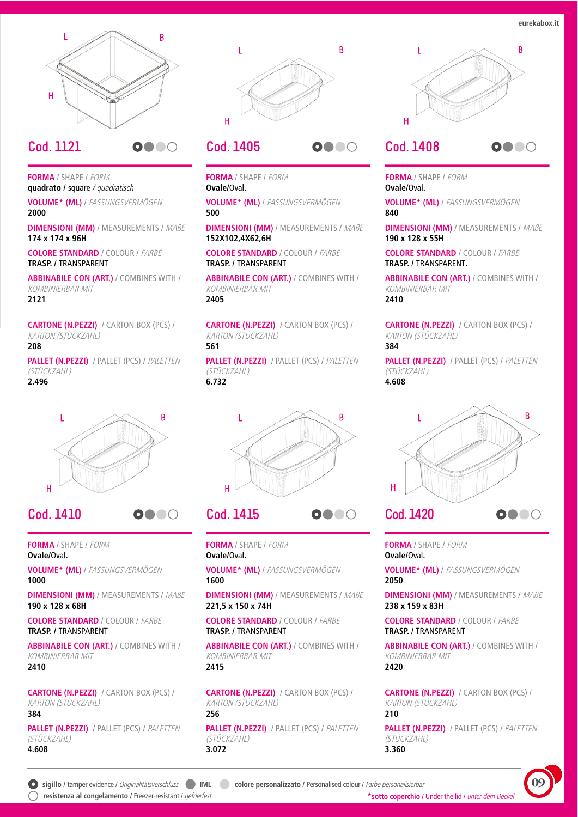eurekabox.it



0000

#### Cod. 1121

**FORMA / SHAPE / FORM** quadrato / square / quadratisch

VOLUME\* (ML) / FASSUNGSVERMÖGEN 2000

**DIMENSIONI (MM) / MEASUREMENTS / MABE** 174 x 174 x 96H

**COLORE STANDARD / COLOUR / FARBE TRASP. / TRANSPARENT** 

**ABBINABILE CON (ART.) / COMBINES WITH / KOMBINIERBAR MIT** 2121

**CARTONE (N.PEZZI)** / CARTON BOX (PCS) / **KARTON (STÜCKZAHL)** 208

**PALLET (N.PEZZI) / PALLET (PCS) / PALETTEN** (STÜCKZAHL) 2.496



0000

#### **Cod. 1410**

**FORMA / SHAPE / FORM** Ovale/Oval.

VOLUME\* (ML) / FASSUNGSVERMÖGEN 1000

**DIMENSIONI (MM) / MEASUREMENTS / MABE** 190 x 128 x 68H

**COLORE STANDARD / COLOUR / FARBE TRASP. / TRANSPARENT** 

**ABBINABILE CON (ART.) / COMBINES WITH / KOMBINIERBAR MIT** 2410

**CARTONE (N.PEZZI) / CARTON BOX (PCS) / KARTON (STÜCKZAHL)** 384

PALLET (N.PEZZI) / PALLET (PCS) / PALETTEN (STÜCKZAHL) 4.608



0000

## Cod. 1405

**FORMA / SHAPE / FORM** Ovale/Oval.

VOLUME\* (ML) / FASSUNGSVERMÖGEN 500

**DIMENSIONI (MM) / MEASUREMENTS / MABE** 152X102,4X62,6H

**COLORE STANDARD / COLOUR / FARBE TRASP. / TRANSPARENT** 

**ABBINABILE CON (ART.) / COMBINES WITH / KOMBINIERBAR MIT** 2405

**CARTONE (N.PEZZI)** / CARTON BOX (PCS) / **KARTON (STÜCKZAHL)** 561

**PALLET (N.PEZZI) / PALLET (PCS) / PALETTEN** (STÜCKZAHL) 6.732



# Cod. 1415

**FORMA / SHAPE / FORM** Ovale/Oval.

VOLUME\* (ML) / FASSUNGSVERMÖGEN 1600

**DIMENSIONI (MM) / MEASUREMENTS / MABE** 221.5 x 150 x 74H

**COLORE STANDARD / COLOUR / FARBE TRASP. / TRANSPARENT** 

**ABBINABILE CON (ART.) / COMBINES WITH / KOMBINIERBAR MIT** 2415

**CARTONE (N.PEZZI) / CARTON BOX (PCS) / KARTON (STÜCKZAHL)** 256

PALLET (N.PEZZI) / PALLET (PCS) / PALETTEN (STÜCKZAHL) 3.072



#### Cod. 1408 **0000**

**FORMA / SHAPE / FORM** Ovale/Oval.

VOLUME\* (ML) / FASSUNGSVERMÖGEN 840

**DIMENSIONI (MM) / MEASUREMENTS / MABE** 190 x 128 x 55H

**COLORE STANDARD / COLOUR / FARRE** TRASP. / TRANSPARENT.

**ABBINABILE CON (ART.) / COMBINES WITH / KOMBINIERBAR MIT** 2410

**CARTONE (N.PEZZI)** / CARTON BOX (PCS) / **KARTON (STÜCKZAHL)** 384

**PALLET (N.PEZZI) / PALLET (PCS) / PALETTEN** (STÜCKZAHL) 4.608



**FORMA / SHAPE / FORM** Ovale/Oval.

VOLUME\* (ML) / FASSUNGSVERMÖGEN 2050

**DIMENSIONI (MM) / MEASUREMENTS / MABE** 238 x 159 x 83H

**COLORE STANDARD / COLOUR / FARBE TRASP. / TRANSPARENT** 

**ABBINABILE CON (ART.) / COMBINES WITH / KOMBINIERBAR MIT** 2420

**CARTONE (N.PEZZI) / CARTON BOX (PCS) / KARTON (STÜCKZAHL)** 210

PALLET (N.PEZZI) / PALLET (PCS) / PALETTEN (STÜCKZAHL) 3.360

0000

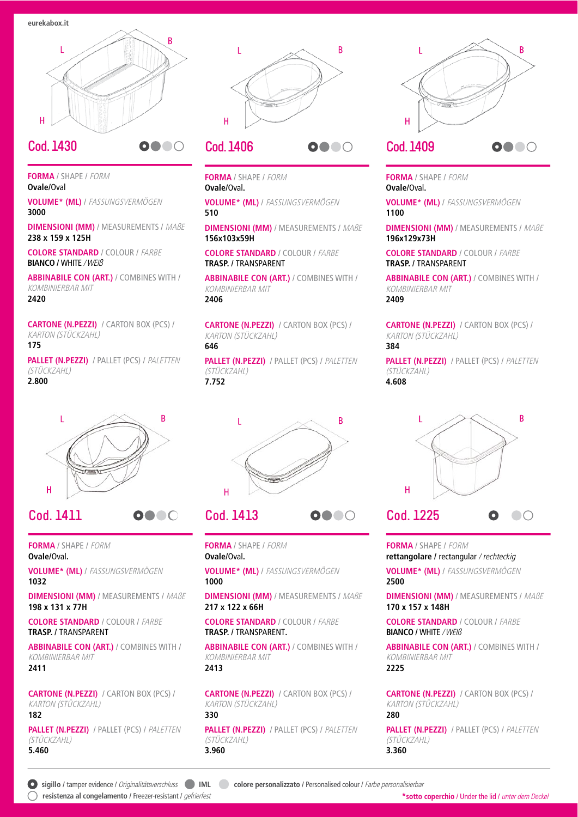

0000

#### Cod. 1430

**FORMA / SHAPE / FORM** Ovale/Oval

VOLUME\* (ML) / FASSUNGSVERMÖGEN 3000

**DIMENSIONI (MM) / MEASUREMENTS / MABE** 238 x 159 x 125H

**COLORE STANDARD / COLOUR / FARRE BIANCO / WHITE / WEIß** 

**ABBINABILE CON (ART.) / COMBINES WITH / KOMBINIERBAR MIT** 2420

**CARTONE (N.PEZZI) / CARTON BOX (PCS) / KARTON (STÜCKZAHL)** 175

**PALLET (N.PEZZI) / PALLET (PCS) / PALETTEN** (STÜCKZAHL) 2.800



0000

## Cod. 1411

**FORMA / SHAPE / FORM** Ovale/Oval.

VOLUME\* (ML) / FASSUNGSVERMÖGEN 1032

**DIMENSIONI (MM) / MEASUREMENTS / MABE** 198 x 131 x 77H

**COLORE STANDARD / COLOUR / FARBE TRASP. / TRANSPARENT** 

**ABBINABILE CON (ART.) / COMBINES WITH / KOMBINIERBAR MIT** 2411

**CARTONE (N.PEZZI) / CARTON BOX (PCS) / KARTON (STÜCKZAHL)** 182

PALLET (N.PEZZI) / PALLET (PCS) / PALETTEN (STÜCKZAHL) 5.460



0000

# **Cod. 1406**

**FORMA / SHAPE / FORM** Ovale/Oval.

VOLUME\* (ML) / FASSUNGSVERMÖGEN 510

**DIMENSIONI (MM) / MEASUREMENTS / MABE** 156x103x59H

**COLORE STANDARD / COLOUR / FARRE TRASP. / TRANSPARENT** 

**ABBINABILE CON (ART.) / COMBINES WITH / KOMBINIERBAR MIT** 2406

**CARTONE (N.PEZZI) / CARTON BOX (PCS) / KARTON (STÜCKZAHL)** 646

**PALLET (N.PEZZI) / PALLET (PCS) / PALETTEN** (STÜCKZAHL) 7.752



# Cod. 1413

**FORMA / SHAPE / FORM** Ovale/Oval.

VOLUME\* (ML) / FASSUNGSVERMÖGEN 1000

**DIMENSIONI (MM) / MEASUREMENTS / MABE** 217 x 122 x 66H

**COLORE STANDARD / COLOUR / FARBE TRASP. / TRANSPARENT.** 

**ABBINABILE CON (ART.) / COMBINES WITH / KOMBINIERBAR MIT** 2413

**CARTONE (N.PEZZI) / CARTON BOX (PCS) / KARTON (STÜCKZAHL)** 330

**PALLET (N.PEZZI) / PALLET (PCS) / PALETTEN** (STÜCKZAHL) 3.960



**FORMA / SHAPE / FORM** Ovale/Oval.

VOLUME\* (ML) / FASSUNGSVERMÖGEN 1100

**DIMENSIONI (MM) / MEASUREMENTS / MABE** 196x129x73H

**COLORE STANDARD / COLOUR / FARRE TRASP. / TRANSPARENT** 

**ABBINABILE CON (ART.) / COMBINES WITH / KOMBINIERBAR MIT** 2409

**CARTONE (N.PEZZI)** / CARTON BOX (PCS) / **KARTON (STÜCKZAHL)** 384

**PALLET (N.PEZZI) / PALLET (PCS) / PALETTEN** (STÜCKZAHL) 4.608



FORMA / SHAPE / FORM rettangolare / rectangular / rechteckig

VOLUME\* (ML) / FASSUNGSVERMÖGEN 2500

**DIMENSIONI (MM) / MEASUREMENTS / MABE** 170 x 157 x 148H

**COLORE STANDARD / COLOUR / FARBE BIANCO / WHITE / WEIB** 

**ABBINABILE CON (ART.) / COMBINES WITH / KOMBINIERBAR MIT** 2225

**CARTONE (N.PEZZI) / CARTON BOX (PCS) / KARTON (STÜCKZAHL)** 

#### 280

PALLET (N.PEZZI) / PALLET (PCS) / PALETTEN (STÜCKZAHL) 3.360

◯ resistenza al congelamento / Freezer-resistant / gefrierfest

0000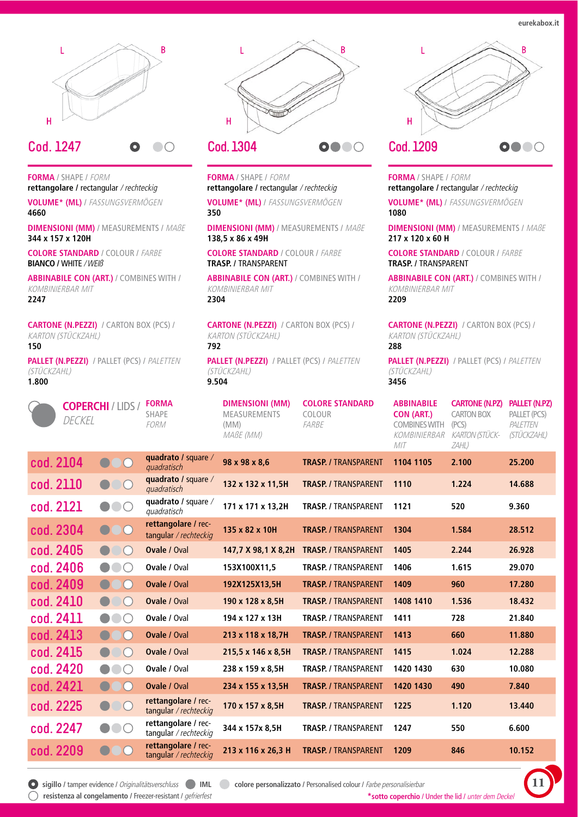eurekabox.it



#### Cod. 1247  $\bigcirc$

**FORMA / SHAPE / FORM** rettangolare / rectangular / rechteckig

VOLUME\* (ML) / FASSUNGSVERMÖGEN 4660

**DIMENSIONI (MM) / MEASUREMENTS / MABE** 344 x 157 x 120H

**COLORE STANDARD / COLOUR / FARBE BIANCO / WHITE / WEIß** 

**ABBINABILE CON (ART.) / COMBINES WITH / KOMBINIERBAR MIT** 2247

**CARTONE (N.PEZZI)** / CARTON BOX (PCS) / **KARTON (STÜCKZAHL)** 150

PALLET (N.PEZZI) / PALLET (PCS) / PALETTEN (STÜCKZAHL) 1.800



# Cod. 1304

**FORMA / SHAPE / FORM** rettangolare / rectangular / rechteckig

VOLUME\* (ML) / FASSUNGSVERMÖGEN 350

**DIMENSIONI (MM) / MEASUREMENTS / MABE** 138,5 x 86 x 49H

**COLORE STANDARD / COLOUR / FARBE TRASP. / TRANSPARENT** 

**ABBINABILE CON (ART.) / COMBINES WITH / KOMBINIERBAR MIT** 2304

**CARTONE (N.PEZZI)** / CARTON BOX (PCS) / **KARTON (STÜCKZAHL)** 792

PALLET (N.PEZZI) / PALLET (PCS) / PALETTEN (STÜCKZAHL) 9.504



**FORMA / SHAPE / FORM** rettangolare / rectangular / rechteckig

VOLUME\* (ML) / FASSUNGSVERMÖGEN 1080

**DIMENSIONI (MM) / MEASUREMENTS / MABE** 217 x 120 x 60 H

**COLORE STANDARD / COLOUR / FARBE TRASP. / TRANSPARENT** 

**ABBINABILE CON (ART.) / COMBINES WITH / KOMBINIERBAR MIT** 2209

**CARTONE (N.PEZZI)** / CARTON BOX (PCS) / **KARTON (STÜCKZAHL)** 288

PALLET (N.PEZZI) / PALLET (PCS) / PALETTEN (STÜCKZAHL) 3456

|           | DECKEL    | <b>COPERCHI / LIDS /</b> | <b>FORMA</b><br><b>SHAPE</b><br><b>FORM</b>  | <b>DIMENSIONI (MM)</b><br><b>MEASUREMENTS</b><br>(MM)<br>MABE (MM) | <b>COLORE STANDARD</b><br>COLOUR<br>FARBE | <b>ABBINABILE</b><br><b>CON (ART.)</b><br><b>COMBINES WITH</b><br><b>KOMBINIERBAR</b><br>MIT | <b>CARTONE (N.PZ)</b><br><b>CARTON BOX</b><br>(PCS)<br><b>KARTON (STÜCK-</b><br>ZAHL) | <b>PALLET (N.PZ)</b><br>PALLET (PCS)<br>PALETTEN<br>(STÜCKZAHL) |
|-----------|-----------|--------------------------|----------------------------------------------|--------------------------------------------------------------------|-------------------------------------------|----------------------------------------------------------------------------------------------|---------------------------------------------------------------------------------------|-----------------------------------------------------------------|
|           | cod. 2104 | $\cup$                   | quadrato / square /<br>quadratisch           | 98 x 98 x 8,6                                                      | <b>TRASP. / TRANSPARENT</b>               | 1104 1105                                                                                    | 2.100                                                                                 | 25.200                                                          |
| cod. 2110 |           | $\bigcirc$               | quadrato / square /<br>quadratisch           | 132 x 132 x 11,5H                                                  | <b>TRASP. / TRANSPARENT</b>               | 1110                                                                                         | 1.224                                                                                 | 14.688                                                          |
| cod. 2121 |           | $\bigcirc$               | quadrato / square /<br>quadratisch           | 171 x 171 x 13,2H                                                  | <b>TRASP. / TRANSPARENT</b>               | 1121                                                                                         | 520                                                                                   | 9.360                                                           |
|           | cod. 2304 | $\overline{C}$           | rettangolare / rec-<br>tangular / rechteckig | 135 x 82 x 10H                                                     | <b>TRASP. / TRANSPARENT</b>               | 1304                                                                                         | 1.584                                                                                 | 28.512                                                          |
|           | cod. 2405 | $\bullet$ 00             | Ovale / Oval                                 | 147,7 X 98,1 X 8,2H                                                | <b>TRASP. / TRANSPARENT</b>               | 1405                                                                                         | 2.244                                                                                 | 26.928                                                          |
|           | cod. 2406 | $\bullet\bullet\circ$    | Ovale / Oval                                 | 153X100X11,5                                                       | <b>TRASP. / TRANSPARENT</b>               | 1406                                                                                         | 1.615                                                                                 | 29.070                                                          |
|           | cod. 2409 | $\bigcap$                | <b>Ovale / Oval</b>                          | 192X125X13,5H                                                      | <b>TRASP. / TRANSPARENT</b>               | 1409                                                                                         | 960                                                                                   | 17.280                                                          |
|           | cod. 2410 | $\bigcirc$<br>$\bullet$  | <b>Ovale / Oval</b>                          | 190 x 128 x 8,5H                                                   | <b>TRASP. / TRANSPARENT</b>               | 1408 1410                                                                                    | 1.536                                                                                 | 18.432                                                          |
| cod. 2411 |           | $\bullet$                | Ovale / Oval                                 | 194 x 127 x 13H                                                    | <b>TRASP. / TRANSPARENT</b>               | 1411                                                                                         | 728                                                                                   | 21.840                                                          |
| cod. 2413 |           | $\cup$                   | <b>Ovale / Oval</b>                          | 213 x 118 x 18,7H                                                  | <b>TRASP. / TRANSPARENT</b>               | 1413                                                                                         | 660                                                                                   | 11.880                                                          |
|           | cod. 2415 | $\bigcirc$               | Ovale / Oval                                 | 215,5 x 146 x 8,5H                                                 | <b>TRASP. / TRANSPARENT</b>               | 1415                                                                                         | 1.024                                                                                 | 12.288                                                          |
|           | cod. 2420 | $\bullet\bullet\circ$    | Ovale / Oval                                 | 238 x 159 x 8,5H                                                   | <b>TRASP. / TRANSPARENT</b>               | 1420 1430                                                                                    | 630                                                                                   | 10.080                                                          |
|           | cod. 2421 | $\bigcirc$               | <b>Ovale / Oval</b>                          | 234 x 155 x 13,5H                                                  | <b>TRASP. / TRANSPARENT</b>               | 1420 1430                                                                                    | 490                                                                                   | 7.840                                                           |
|           | cod. 2225 | $\bigcirc$<br>$\bullet$  | rettangolare / rec-<br>tangular / rechteckig | 170 x 157 x 8,5H                                                   | <b>TRASP. / TRANSPARENT</b>               | 1225                                                                                         | 1.120                                                                                 | 13.440                                                          |
| cod. 2247 |           | $\bullet\bullet\circ$    | rettangolare / rec-<br>tangular / rechteckig | 344 x 157x 8,5H                                                    | <b>TRASP. / TRANSPARENT</b>               | 1247                                                                                         | 550                                                                                   | 6.600                                                           |
|           | cod. 2209 | $\overline{C}$           | rettangolare / rec-<br>tangular / rechteckig | 213 x 116 x 26.3 H                                                 | <b>TRASP. / TRANSPARENT</b>               | 1209                                                                                         | 846                                                                                   | 10.152                                                          |

◯ resistenza al congelamento / Freezer-resistant / gefrierfest

● sigillo / tamper evidence / Originalitätsverschluss ● IML ● colore personalizzato / Personalised colour / Farbe personalisierbar